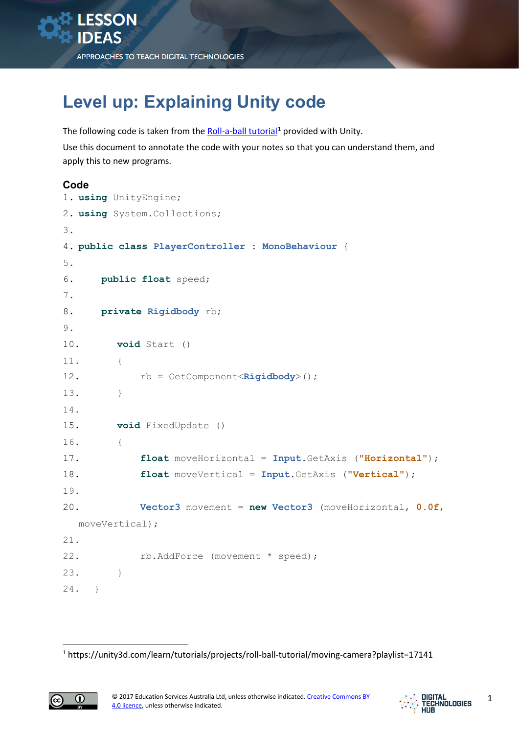## **Level up: Explaining Unity code**

The following code is taken from the [Roll-a-ball tutorial](https://unity3d.com/learn/tutorials/projects/roll-ball-tutorial/moving-camera?playlist=17141)<sup>[1](#page-0-0)</sup> provided with Unity. Use this document to annotate the code with your notes so that you can understand them, and apply this to new programs.

## **Code**

```
1. using UnityEngine;
2. using System.Collections;
3.
4. public class PlayerController : MonoBehaviour {
5.
6. public float speed;
7.
8. private Rigidbody rb;
9.
10. void Start ()
11. { 
12. rb = GetComponent<Rigidbody>();
13. } 
14.
15. void FixedUpdate ()
16. { 
17. float moveHorizontal = Input.GetAxis ("Horizontal");
18. float moveVertical = Input.GetAxis ("Vertical");
19.
20. Vector3 movement = new Vector3 (moveHorizontal, 0.0f, 
  moveVertical);
21.
22. rb.AddForce (movement * speed);
23. } 
24. }
```
<sup>1</sup> https://unity3d.com/learn/tutorials/projects/roll-ball-tutorial/moving-camera?playlist=17141

<span id="page-0-0"></span>

**.**